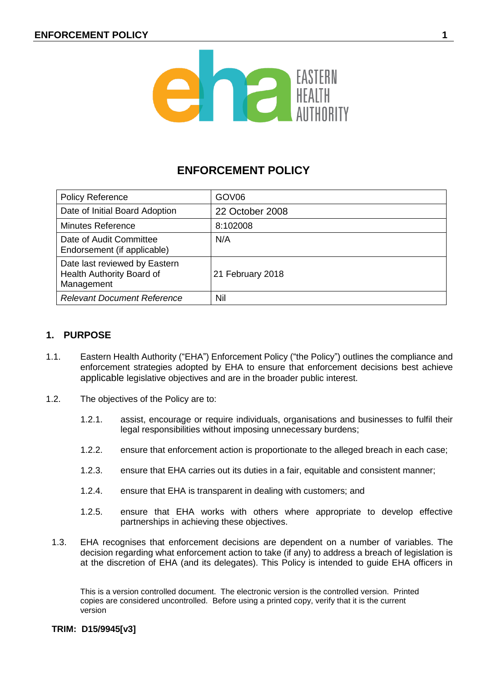

# **ENFORCEMENT POLICY**

| <b>Policy Reference</b>                                                  | GOV <sub>06</sub> |
|--------------------------------------------------------------------------|-------------------|
| Date of Initial Board Adoption                                           | 22 October 2008   |
| <b>Minutes Reference</b>                                                 | 8:102008          |
| Date of Audit Committee<br>Endorsement (if applicable)                   | N/A               |
| Date last reviewed by Eastern<br>Health Authority Board of<br>Management | 21 February 2018  |
| <b>Relevant Document Reference</b>                                       | Nil               |

# **1. PURPOSE**

- 1.1. Eastern Health Authority ("EHA") Enforcement Policy ("the Policy") outlines the compliance and enforcement strategies adopted by EHA to ensure that enforcement decisions best achieve applicable legislative objectives and are in the broader public interest.
- 1.2. The objectives of the Policy are to:
	- 1.2.1. assist, encourage or require individuals, organisations and businesses to fulfil their legal responsibilities without imposing unnecessary burdens;
	- 1.2.2. ensure that enforcement action is proportionate to the alleged breach in each case;
	- 1.2.3. ensure that EHA carries out its duties in a fair, equitable and consistent manner;
	- 1.2.4. ensure that EHA is transparent in dealing with customers; and
	- 1.2.5. ensure that EHA works with others where appropriate to develop effective partnerships in achieving these objectives.
	- 1.3. EHA recognises that enforcement decisions are dependent on a number of variables. The decision regarding what enforcement action to take (if any) to address a breach of legislation is at the discretion of EHA (and its delegates). This Policy is intended to guide EHA officers in

This is a version controlled document. The electronic version is the controlled version. Printed copies are considered uncontrolled. Before using a printed copy, verify that it is the current version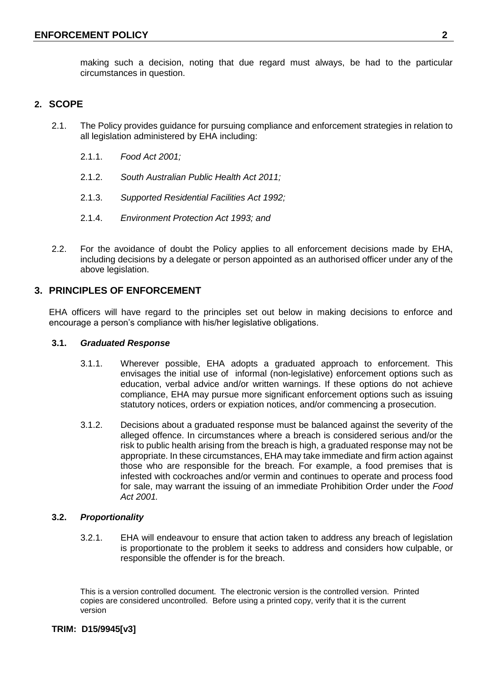making such a decision, noting that due regard must always, be had to the particular circumstances in question.

# **2. SCOPE**

- 2.1. The Policy provides guidance for pursuing compliance and enforcement strategies in relation to all legislation administered by EHA including:
	- 2.1.1. *Food Act 2001;*
	- 2.1.2. *South Australian Public Health Act 2011;*
	- 2.1.3. *Supported Residential Facilities Act 1992;*
	- 2.1.4. *Environment Protection Act 1993; and*
- 2.2. For the avoidance of doubt the Policy applies to all enforcement decisions made by EHA, including decisions by a delegate or person appointed as an authorised officer under any of the above legislation.

# **3. PRINCIPLES OF ENFORCEMENT**

EHA officers will have regard to the principles set out below in making decisions to enforce and encourage a person's compliance with his/her legislative obligations.

#### **3.1.** *Graduated Response*

- 3.1.1. Wherever possible, EHA adopts a graduated approach to enforcement. This envisages the initial use of informal (non-legislative) enforcement options such as education, verbal advice and/or written warnings. If these options do not achieve compliance, EHA may pursue more significant enforcement options such as issuing statutory notices, orders or expiation notices, and/or commencing a prosecution.
- 3.1.2. Decisions about a graduated response must be balanced against the severity of the alleged offence. In circumstances where a breach is considered serious and/or the risk to public health arising from the breach is high, a graduated response may not be appropriate. In these circumstances, EHA may take immediate and firm action against those who are responsible for the breach. For example, a food premises that is infested with cockroaches and/or vermin and continues to operate and process food for sale, may warrant the issuing of an immediate Prohibition Order under the *Food Act 2001.*

#### **3.2.** *Proportionality*

3.2.1. EHA will endeavour to ensure that action taken to address any breach of legislation is proportionate to the problem it seeks to address and considers how culpable, or responsible the offender is for the breach.

This is a version controlled document. The electronic version is the controlled version. Printed copies are considered uncontrolled. Before using a printed copy, verify that it is the current version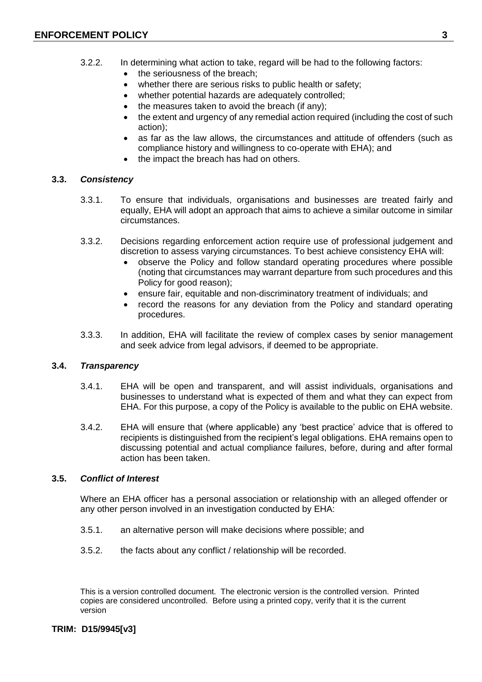- 3.2.2. In determining what action to take, regard will be had to the following factors:
	- the seriousness of the breach;
	- whether there are serious risks to public health or safety;
	- whether potential hazards are adequately controlled;
	- the measures taken to avoid the breach (if any);
	- the extent and urgency of any remedial action required (including the cost of such action);
	- as far as the law allows, the circumstances and attitude of offenders (such as compliance history and willingness to co-operate with EHA); and
	- the impact the breach has had on others.

#### **3.3.** *Consistency*

- 3.3.1. To ensure that individuals, organisations and businesses are treated fairly and equally, EHA will adopt an approach that aims to achieve a similar outcome in similar circumstances.
- 3.3.2. Decisions regarding enforcement action require use of professional judgement and discretion to assess varying circumstances. To best achieve consistency EHA will:
	- observe the Policy and follow standard operating procedures where possible (noting that circumstances may warrant departure from such procedures and this Policy for good reason);
	- ensure fair, equitable and non-discriminatory treatment of individuals; and
	- record the reasons for any deviation from the Policy and standard operating procedures.
- 3.3.3. In addition, EHA will facilitate the review of complex cases by senior management and seek advice from legal advisors, if deemed to be appropriate.

# **3.4.** *Transparency*

- 3.4.1. EHA will be open and transparent, and will assist individuals, organisations and businesses to understand what is expected of them and what they can expect from EHA. For this purpose, a copy of the Policy is available to the public on EHA website.
- 3.4.2. EHA will ensure that (where applicable) any 'best practice' advice that is offered to recipients is distinguished from the recipient's legal obligations. EHA remains open to discussing potential and actual compliance failures, before, during and after formal action has been taken.

# **3.5.** *Conflict of Interest*

Where an EHA officer has a personal association or relationship with an alleged offender or any other person involved in an investigation conducted by EHA:

- 3.5.1. an alternative person will make decisions where possible; and
- 3.5.2. the facts about any conflict / relationship will be recorded.

This is a version controlled document. The electronic version is the controlled version. Printed copies are considered uncontrolled. Before using a printed copy, verify that it is the current version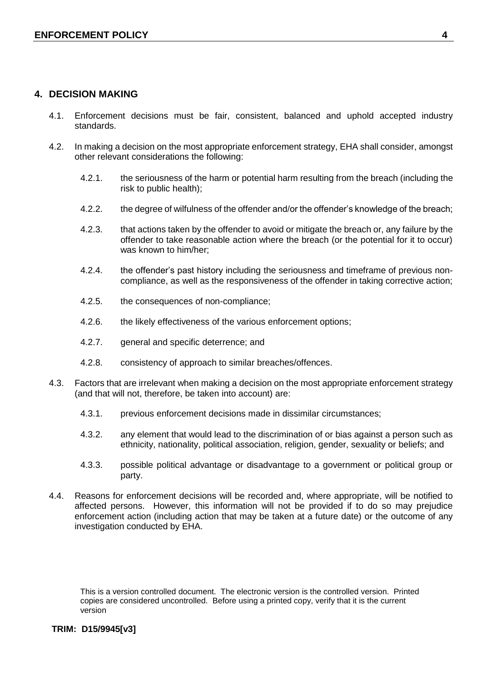# **4. DECISION MAKING**

- 4.1. Enforcement decisions must be fair, consistent, balanced and uphold accepted industry standards.
- 4.2. In making a decision on the most appropriate enforcement strategy, EHA shall consider, amongst other relevant considerations the following:
	- 4.2.1. the seriousness of the harm or potential harm resulting from the breach (including the risk to public health);
	- 4.2.2. the degree of wilfulness of the offender and/or the offender's knowledge of the breach;
	- 4.2.3. that actions taken by the offender to avoid or mitigate the breach or, any failure by the offender to take reasonable action where the breach (or the potential for it to occur) was known to him/her;
	- 4.2.4. the offender's past history including the seriousness and timeframe of previous noncompliance, as well as the responsiveness of the offender in taking corrective action;
	- 4.2.5. the consequences of non-compliance;
	- 4.2.6. the likely effectiveness of the various enforcement options;
	- 4.2.7. general and specific deterrence; and
	- 4.2.8. consistency of approach to similar breaches/offences.
- 4.3. Factors that are irrelevant when making a decision on the most appropriate enforcement strategy (and that will not, therefore, be taken into account) are:
	- 4.3.1. previous enforcement decisions made in dissimilar circumstances;
	- 4.3.2. any element that would lead to the discrimination of or bias against a person such as ethnicity, nationality, political association, religion, gender, sexuality or beliefs; and
	- 4.3.3. possible political advantage or disadvantage to a government or political group or party.
- 4.4. Reasons for enforcement decisions will be recorded and, where appropriate, will be notified to affected persons. However, this information will not be provided if to do so may prejudice enforcement action (including action that may be taken at a future date) or the outcome of any investigation conducted by EHA.

This is a version controlled document. The electronic version is the controlled version. Printed copies are considered uncontrolled. Before using a printed copy, verify that it is the current version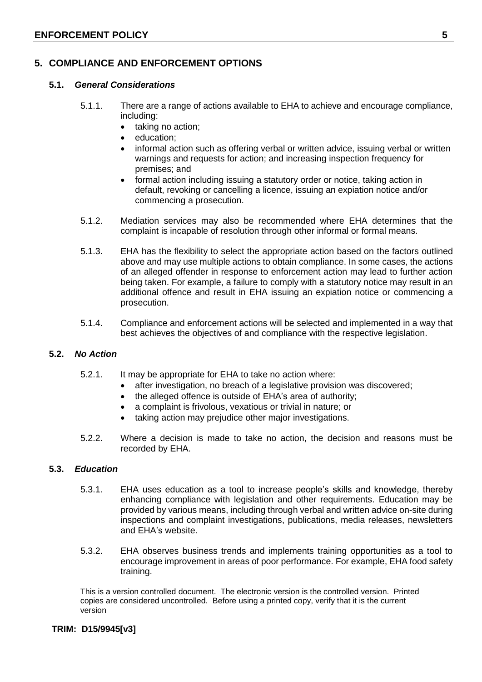# **5. COMPLIANCE AND ENFORCEMENT OPTIONS**

# **5.1.** *General Considerations*

- 5.1.1. There are a range of actions available to EHA to achieve and encourage compliance, including:
	- taking no action;
	- education;
	- informal action such as offering verbal or written advice, issuing verbal or written warnings and requests for action; and increasing inspection frequency for premises; and
	- formal action including issuing a statutory order or notice, taking action in default, revoking or cancelling a licence, issuing an expiation notice and/or commencing a prosecution.
- 5.1.2. Mediation services may also be recommended where EHA determines that the complaint is incapable of resolution through other informal or formal means.
- 5.1.3. EHA has the flexibility to select the appropriate action based on the factors outlined above and may use multiple actions to obtain compliance. In some cases, the actions of an alleged offender in response to enforcement action may lead to further action being taken. For example, a failure to comply with a statutory notice may result in an additional offence and result in EHA issuing an expiation notice or commencing a prosecution.
- 5.1.4. Compliance and enforcement actions will be selected and implemented in a way that best achieves the objectives of and compliance with the respective legislation.

# **5.2.** *No Action*

- 5.2.1. It may be appropriate for EHA to take no action where:
	- after investigation, no breach of a legislative provision was discovered;
	- the alleged offence is outside of EHA's area of authority;
	- a complaint is frivolous, vexatious or trivial in nature; or
	- taking action may prejudice other major investigations.
- 5.2.2. Where a decision is made to take no action, the decision and reasons must be recorded by EHA.

#### **5.3.** *Education*

- 5.3.1. EHA uses education as a tool to increase people's skills and knowledge, thereby enhancing compliance with legislation and other requirements. Education may be provided by various means, including through verbal and written advice on-site during inspections and complaint investigations, publications, media releases, newsletters and EHA's website.
- 5.3.2. EHA observes business trends and implements training opportunities as a tool to encourage improvement in areas of poor performance. For example, EHA food safety training.

This is a version controlled document. The electronic version is the controlled version. Printed copies are considered uncontrolled. Before using a printed copy, verify that it is the current version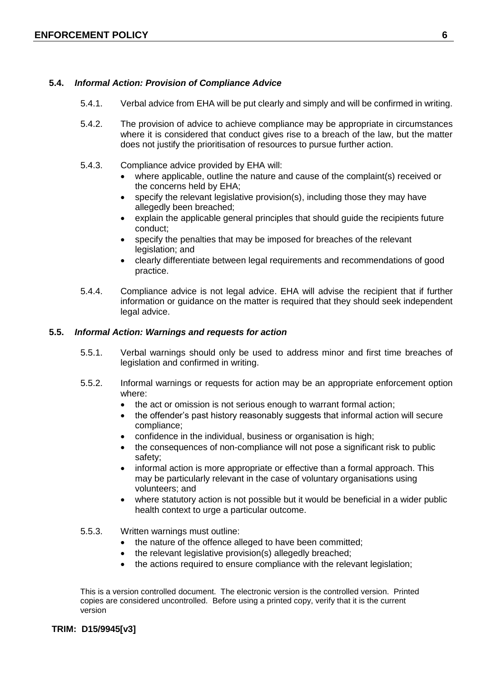# **5.4.** *Informal Action: Provision of Compliance Advice*

- 5.4.1. Verbal advice from EHA will be put clearly and simply and will be confirmed in writing.
- 5.4.2. The provision of advice to achieve compliance may be appropriate in circumstances where it is considered that conduct gives rise to a breach of the law, but the matter does not justify the prioritisation of resources to pursue further action.
- 5.4.3. Compliance advice provided by EHA will:
	- where applicable, outline the nature and cause of the complaint(s) received or the concerns held by EHA;
	- specify the relevant legislative provision(s), including those they may have allegedly been breached;
	- explain the applicable general principles that should guide the recipients future conduct;
	- specify the penalties that may be imposed for breaches of the relevant legislation; and
	- clearly differentiate between legal requirements and recommendations of good practice.
- 5.4.4. Compliance advice is not legal advice. EHA will advise the recipient that if further information or guidance on the matter is required that they should seek independent legal advice.

# **5.5.** *Informal Action: Warnings and requests for action*

- 5.5.1. Verbal warnings should only be used to address minor and first time breaches of legislation and confirmed in writing.
- 5.5.2. Informal warnings or requests for action may be an appropriate enforcement option where:
	- the act or omission is not serious enough to warrant formal action;
	- the offender's past history reasonably suggests that informal action will secure compliance;
	- confidence in the individual, business or organisation is high;
	- the consequences of non-compliance will not pose a significant risk to public safety;
	- informal action is more appropriate or effective than a formal approach. This may be particularly relevant in the case of voluntary organisations using volunteers; and
	- where statutory action is not possible but it would be beneficial in a wider public health context to urge a particular outcome.
- 5.5.3. Written warnings must outline:
	- the nature of the offence alleged to have been committed;
	- the relevant legislative provision(s) allegedly breached;
	- the actions required to ensure compliance with the relevant legislation;

This is a version controlled document. The electronic version is the controlled version. Printed copies are considered uncontrolled. Before using a printed copy, verify that it is the current version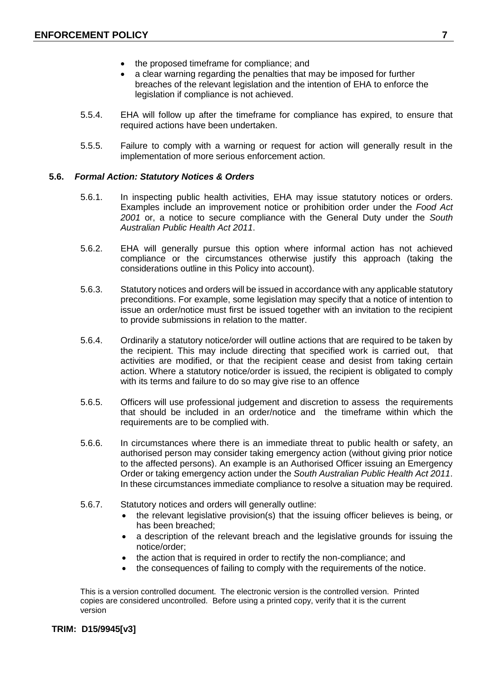- the proposed timeframe for compliance; and
- a clear warning regarding the penalties that may be imposed for further breaches of the relevant legislation and the intention of EHA to enforce the legislation if compliance is not achieved.
- 5.5.4. EHA will follow up after the timeframe for compliance has expired, to ensure that required actions have been undertaken.
- 5.5.5. Failure to comply with a warning or request for action will generally result in the implementation of more serious enforcement action.

#### **5.6.** *Formal Action: Statutory Notices & Orders*

- 5.6.1. In inspecting public health activities, EHA may issue statutory notices or orders. Examples include an improvement notice or prohibition order under the *Food Act 2001* or, a notice to secure compliance with the General Duty under the *South Australian Public Health Act 2011*.
- 5.6.2. EHA will generally pursue this option where informal action has not achieved compliance or the circumstances otherwise justify this approach (taking the considerations outline in this Policy into account).
- 5.6.3. Statutory notices and orders will be issued in accordance with any applicable statutory preconditions. For example, some legislation may specify that a notice of intention to issue an order/notice must first be issued together with an invitation to the recipient to provide submissions in relation to the matter.
- 5.6.4. Ordinarily a statutory notice/order will outline actions that are required to be taken by the recipient. This may include directing that specified work is carried out, that activities are modified, or that the recipient cease and desist from taking certain action. Where a statutory notice/order is issued, the recipient is obligated to comply with its terms and failure to do so may give rise to an offence
- 5.6.5. Officers will use professional judgement and discretion to assess the requirements that should be included in an order/notice and the timeframe within which the requirements are to be complied with.
- 5.6.6. In circumstances where there is an immediate threat to public health or safety, an authorised person may consider taking emergency action (without giving prior notice to the affected persons). An example is an Authorised Officer issuing an Emergency Order or taking emergency action under the *South Australian Public Health Act 2011*. In these circumstances immediate compliance to resolve a situation may be required.
- 5.6.7. Statutory notices and orders will generally outline:
	- the relevant legislative provision(s) that the issuing officer believes is being, or has been breached;
	- a description of the relevant breach and the legislative grounds for issuing the notice/order;
	- the action that is required in order to rectify the non-compliance; and
	- the consequences of failing to comply with the requirements of the notice.

This is a version controlled document. The electronic version is the controlled version. Printed copies are considered uncontrolled. Before using a printed copy, verify that it is the current version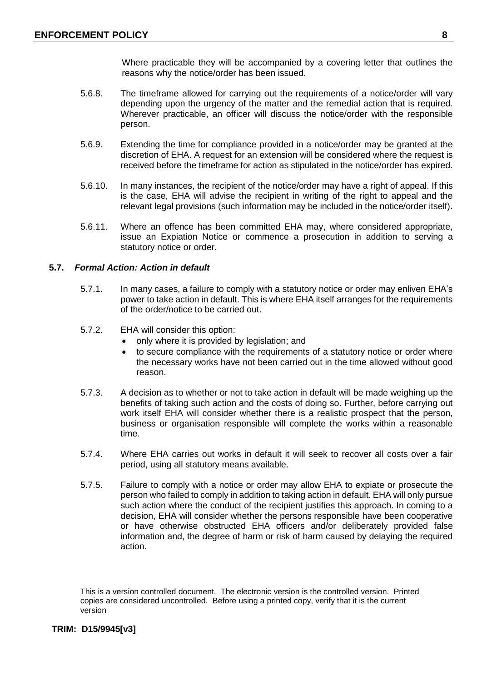Where practicable they will be accompanied by a covering letter that outlines the reasons why the notice/order has been issued.

- 5.6.8. The timeframe allowed for carrying out the requirements of a notice/order will vary depending upon the urgency of the matter and the remedial action that is required. Wherever practicable, an officer will discuss the notice/order with the responsible person.
- 5.6.9. Extending the time for compliance provided in a notice/order may be granted at the discretion of EHA. A request for an extension will be considered where the request is received before the timeframe for action as stipulated in the notice/order has expired.
- 5.6.10. In many instances, the recipient of the notice/order may have a right of appeal. If this is the case, EHA will advise the recipient in writing of the right to appeal and the relevant legal provisions (such information may be included in the notice/order itself).
- 5.6.11. Where an offence has been committed EHA may, where considered appropriate, issue an Expiation Notice or commence a prosecution in addition to serving a statutory notice or order.

#### **5.7.** *Formal Action: Action in default*

- 5.7.1. In many cases, a failure to comply with a statutory notice or order may enliven EHA's power to take action in default. This is where EHA itself arranges for the requirements of the order/notice to be carried out.
- 5.7.2. EHA will consider this option:
	- only where it is provided by legislation; and
	- to secure compliance with the requirements of a statutory notice or order where the necessary works have not been carried out in the time allowed without good reason.
- 5.7.3. A decision as to whether or not to take action in default will be made weighing up the benefits of taking such action and the costs of doing so. Further, before carrying out work itself EHA will consider whether there is a realistic prospect that the person, business or organisation responsible will complete the works within a reasonable time.
- 5.7.4. Where EHA carries out works in default it will seek to recover all costs over a fair period, using all statutory means available.
- 5.7.5. Failure to comply with a notice or order may allow EHA to expiate or prosecute the person who failed to comply in addition to taking action in default. EHA will only pursue such action where the conduct of the recipient justifies this approach. In coming to a decision, EHA will consider whether the persons responsible have been cooperative or have otherwise obstructed EHA officers and/or deliberately provided false information and, the degree of harm or risk of harm caused by delaying the required action.

This is a version controlled document. The electronic version is the controlled version. Printed copies are considered uncontrolled. Before using a printed copy, verify that it is the current version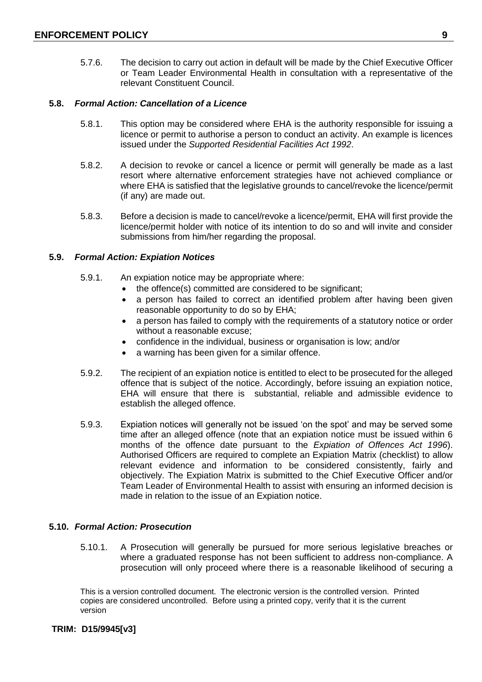5.7.6. The decision to carry out action in default will be made by the Chief Executive Officer or Team Leader Environmental Health in consultation with a representative of the relevant Constituent Council.

### **5.8.** *Formal Action: Cancellation of a Licence*

- 5.8.1. This option may be considered where EHA is the authority responsible for issuing a licence or permit to authorise a person to conduct an activity. An example is licences issued under the *Supported Residential Facilities Act 1992*.
- 5.8.2. A decision to revoke or cancel a licence or permit will generally be made as a last resort where alternative enforcement strategies have not achieved compliance or where EHA is satisfied that the legislative grounds to cancel/revoke the licence/permit (if any) are made out.
- 5.8.3. Before a decision is made to cancel/revoke a licence/permit, EHA will first provide the licence/permit holder with notice of its intention to do so and will invite and consider submissions from him/her regarding the proposal.

# **5.9.** *Formal Action: Expiation Notices*

- 5.9.1. An expiation notice may be appropriate where:
	- the offence(s) committed are considered to be significant;
	- a person has failed to correct an identified problem after having been given reasonable opportunity to do so by EHA;
	- a person has failed to comply with the requirements of a statutory notice or order without a reasonable excuse;
	- confidence in the individual, business or organisation is low; and/or
	- a warning has been given for a similar offence.
- 5.9.2. The recipient of an expiation notice is entitled to elect to be prosecuted for the alleged offence that is subject of the notice. Accordingly, before issuing an expiation notice, EHA will ensure that there is substantial, reliable and admissible evidence to establish the alleged offence.
- 5.9.3. Expiation notices will generally not be issued 'on the spot' and may be served some time after an alleged offence (note that an expiation notice must be issued within 6 months of the offence date pursuant to the *Expiation of Offences Act 1996*). Authorised Officers are required to complete an Expiation Matrix (checklist) to allow relevant evidence and information to be considered consistently, fairly and objectively. The Expiation Matrix is submitted to the Chief Executive Officer and/or Team Leader of Environmental Health to assist with ensuring an informed decision is made in relation to the issue of an Expiation notice.

#### **5.10.** *Formal Action: Prosecution*

5.10.1. A Prosecution will generally be pursued for more serious legislative breaches or where a graduated response has not been sufficient to address non-compliance. A prosecution will only proceed where there is a reasonable likelihood of securing a

This is a version controlled document. The electronic version is the controlled version. Printed copies are considered uncontrolled. Before using a printed copy, verify that it is the current version